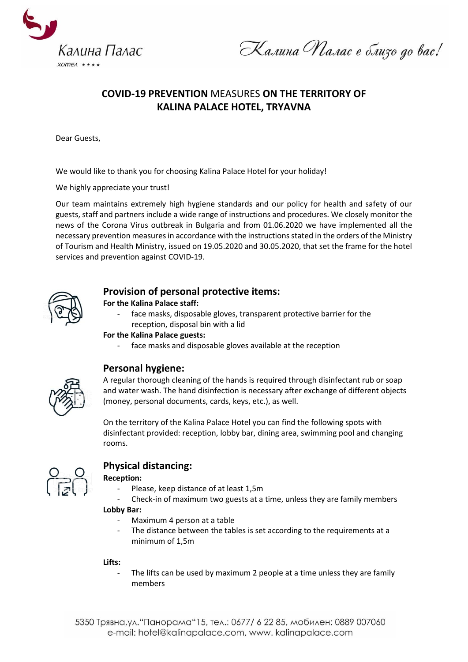

Калина Малас е близо до вас!

# **COVID-19 PREVENTION** MEASURES **ON THE TERRITORY OF KALINA PALACE HOTEL, TRYAVNA**

Dear Guests,

We would like to thank you for choosing Kalina Palace Hotel for your holiday!

We highly appreciate your trust!

Our team maintains extremely high hygiene standards and our policy for health and safety of our guests, staff and partners include a wide range of instructions and procedures. We closely monitor the news of the Corona Virus outbreak in Bulgaria and from 01.06.2020 we have implemented all the necessary prevention measures in accordance with the instructions stated in the orders of the Ministry of Tourism and Health Ministry, issued on 19.05.2020 and 30.05.2020, that set the frame for the hotel services and prevention against COVID-19.



## **Provision of personal protective items:**

**For the Kalina Palace staff:** 

face masks, disposable gloves, transparent protective barrier for the reception, disposal bin with a lid

## **For the Kalina Palace guests:**

- face masks and disposable gloves available at the reception



## **Personal hygiene:**

A regular thorough cleaning of the hands is required through disinfectant rub or soap and water wash. The hand disinfection is necessary after exchange of different objects (money, personal documents, cards, keys, etc.), as well.

On the territory of the Kalina Palace Hotel you can find the following spots with disinfectant provided: reception, lobby bar, dining area, swimming pool and changing rooms.



## **Physical distancing:**

## **Reception:**

- Please, keep distance of at least 1,5m
- Check-in of maximum two guests at a time, unless they are family members

## **Lobby Bar:**

- Maximum 4 person at a table
- The distance between the tables is set according to the requirements at a minimum of 1,5m

## **Lifts:**

The lifts can be used by maximum 2 people at a time unless they are family members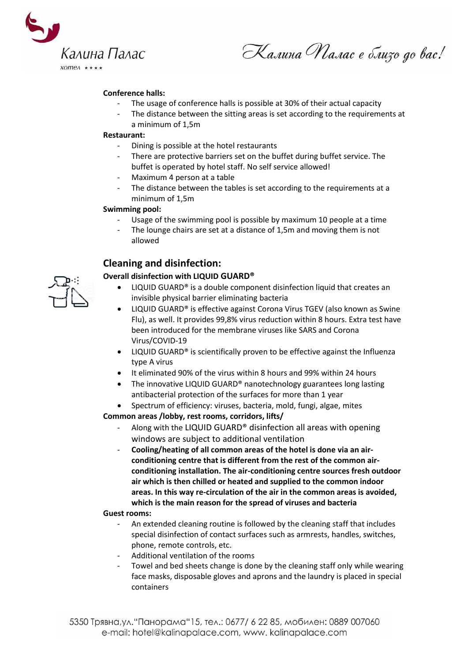

Калина Малас е близо до вас!

## **Conference halls:**

- The usage of conference halls is possible at 30% of their actual capacity
- The distance between the sitting areas is set according to the requirements at a minimum of 1,5m

#### **Restaurant:**

- Dining is possible at the hotel restaurants
- There are protective barriers set on the buffet during buffet service. The buffet is operated by hotel staff. No self service allowed!
- Maximum 4 person at a table
- The distance between the tables is set according to the requirements at a minimum of 1,5m

#### **Swimming pool:**

- Usage of the swimming pool is possible by maximum 10 people at a time
- The lounge chairs are set at a distance of 1,5m and moving them is not allowed

# **Cleaning and disinfection:**

## **Overall disinfection with LIQUID GUARD®**

- LIQUID GUARD® is a double component disinfection liquid that creates an invisible physical barrier eliminating bacteria
- LIQUID GUARD® is effective against Corona Virus TGEV (also known as Swine Flu), as well. It provides 99,8% virus reduction within 8 hours. Extra test have been introduced for the membrane viruses like SARS and Corona Virus/COVID-19
- LIQUID GUARD® is scientifically proven to be effective against the Influenza type A virus
- It eliminated 90% of the virus within 8 hours and 99% within 24 hours
- The innovative LIQUID GUARD<sup>®</sup> nanotechnology guarantees long lasting antibacterial protection of the surfaces for more than 1 year
- Spectrum of efficiency: viruses, bacteria, mold, fungi, algae, mites

**Common areas /lobby, rest rooms, corridors, lifts/** 

- Along with the LIQUID GUARD® disinfection all areas with opening windows are subject to additional ventilation
- **Cooling/heating of all common areas of the hotel is done via an airconditioning centre that is different from the rest of the common airconditioning installation. The air-conditioning centre sources fresh outdoor air which is then chilled or heated and supplied to the common indoor areas. In this way re-circulation of the air in the common areas is avoided, which is the main reason for the spread of viruses and bacteria**

#### **Guest rooms:**

- An extended cleaning routine is followed by the cleaning staff that includes special disinfection of contact surfaces such as armrests, handles, switches, phone, remote controls, etc.
- Additional ventilation of the rooms
- Towel and bed sheets change is done by the cleaning staff only while wearing face masks, disposable gloves and aprons and the laundry is placed in special containers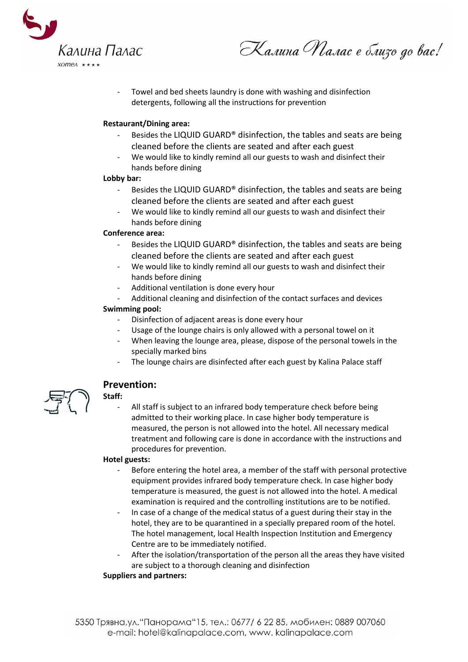

Калина Малас е близо до вас!

Towel and bed sheets laundry is done with washing and disinfection detergents, following all the instructions for prevention

### **Restaurant/Dining area:**

- Besides the LIQUID GUARD<sup>®</sup> disinfection, the tables and seats are being cleaned before the clients are seated and after each guest
- We would like to kindly remind all our guests to wash and disinfect their hands before dining

#### **Lobby bar:**

- Besides the LIQUID GUARD<sup>®</sup> disinfection, the tables and seats are being cleaned before the clients are seated and after each guest
- We would like to kindly remind all our guests to wash and disinfect their hands before dining

## **Conference area:**

- Besides the LIQUID GUARD® disinfection, the tables and seats are being cleaned before the clients are seated and after each guest
- We would like to kindly remind all our guests to wash and disinfect their hands before dining
- Additional ventilation is done every hour
- Additional cleaning and disinfection of the contact surfaces and devices

## **Swimming pool:**

- Disinfection of adjacent areas is done every hour
- Usage of the lounge chairs is only allowed with a personal towel on it
- When leaving the lounge area, please, dispose of the personal towels in the specially marked bins
- The lounge chairs are disinfected after each guest by Kalina Palace staff



## **Prevention:**

## **Staff:**

All staff is subject to an infrared body temperature check before being admitted to their working place. In case higher body temperature is measured, the person is not allowed into the hotel. All necessary medical treatment and following care is done in accordance with the instructions and procedures for prevention.

#### **Hotel guests:**

- Before entering the hotel area, a member of the staff with personal protective equipment provides infrared body temperature check. In case higher body temperature is measured, the guest is not allowed into the hotel. A medical examination is required and the controlling institutions are to be notified.
- In case of a change of the medical status of a guest during their stay in the hotel, they are to be quarantined in a specially prepared room of the hotel. The hotel management, local Health Inspection Institution and Emergency Centre are to be immediately notified.
- After the isolation/transportation of the person all the areas they have visited are subject to a thorough cleaning and disinfection

## **Suppliers and partners:**